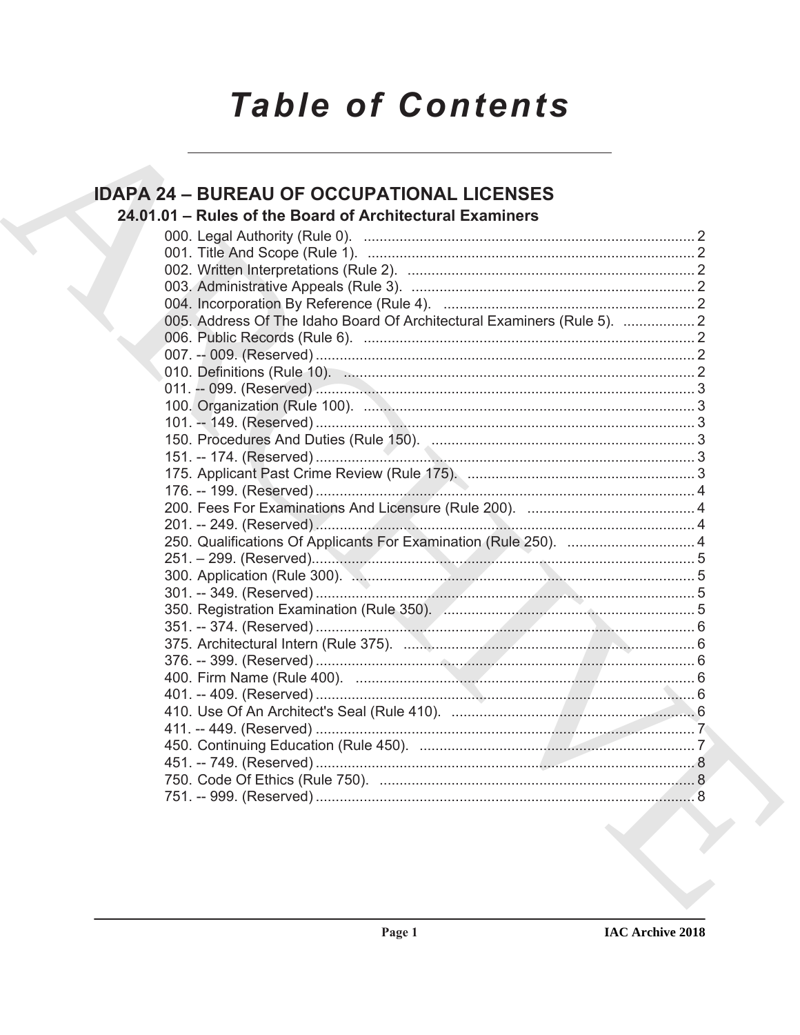# **Table of Contents**

### **IDAPA 24 - BUREAU OF OCCUPATIONAL LICENSES** 24.01.01 - Rules of the Board of Architectural Examiners 005. Address Of The Idaho Board Of Architectural Examiners (Rule 5). ................... 2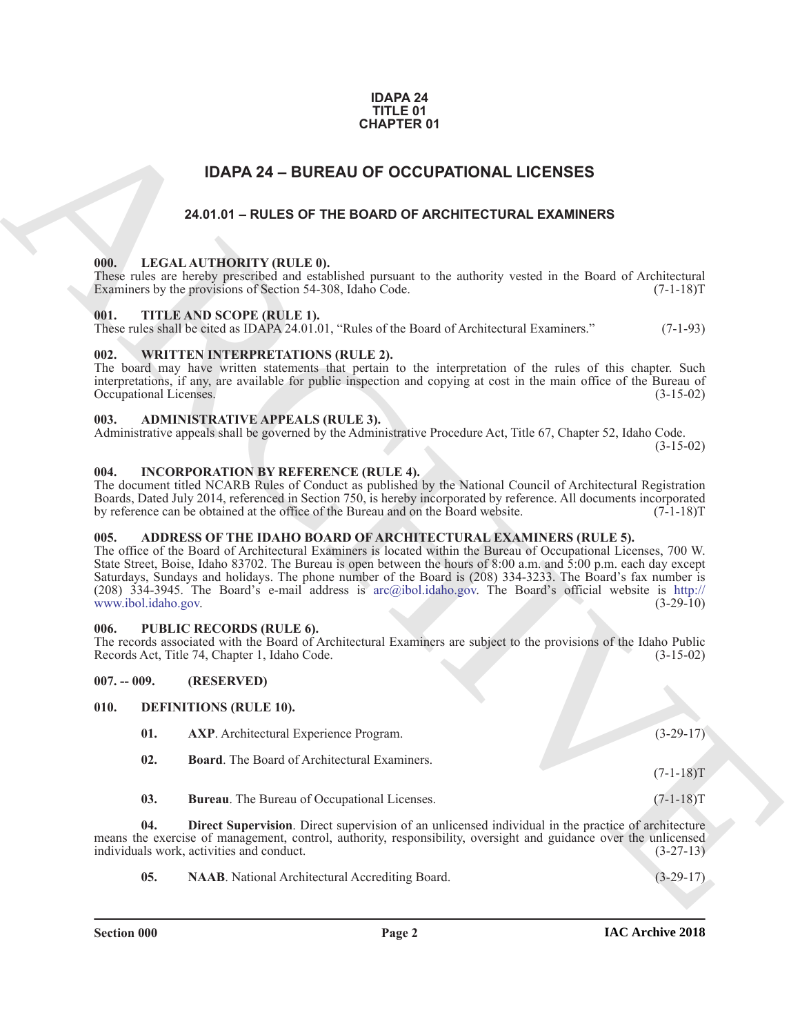### **IDAPA 24 TITLE 01 CHAPTER 01**

### **IDAPA 24 – BUREAU OF OCCUPATIONAL LICENSES**

### **24.01.01 – RULES OF THE BOARD OF ARCHITECTURAL EXAMINERS**

### <span id="page-1-20"></span><span id="page-1-2"></span><span id="page-1-1"></span><span id="page-1-0"></span>**000. LEGAL AUTHORITY (RULE 0).**

### <span id="page-1-22"></span><span id="page-1-3"></span>**001. TITLE AND SCOPE (RULE 1).**

### <span id="page-1-23"></span><span id="page-1-4"></span>**002. WRITTEN INTERPRETATIONS (RULE 2).**

### <span id="page-1-12"></span><span id="page-1-5"></span>**003. ADMINISTRATIVE APPEALS (RULE 3).**

### <span id="page-1-19"></span><span id="page-1-6"></span>**004. INCORPORATION BY REFERENCE (RULE 4).**

### <span id="page-1-11"></span><span id="page-1-7"></span>**005. ADDRESS OF THE IDAHO BOARD OF ARCHITECTURAL EXAMINERS (RULE 5).**

### <span id="page-1-21"></span><span id="page-1-8"></span>**006. PUBLIC RECORDS (RULE 6).**

### <span id="page-1-16"></span><span id="page-1-15"></span><span id="page-1-14"></span><span id="page-1-13"></span><span id="page-1-10"></span><span id="page-1-9"></span>**007. -- 009. (RESERVED)**

| <b>CHAPTER 01</b>              |                                                                                                                                                                                                                                                                                                                                                                                                                                                                                                                                         |             |
|--------------------------------|-----------------------------------------------------------------------------------------------------------------------------------------------------------------------------------------------------------------------------------------------------------------------------------------------------------------------------------------------------------------------------------------------------------------------------------------------------------------------------------------------------------------------------------------|-------------|
|                                | <b>IDAPA 24 - BUREAU OF OCCUPATIONAL LICENSES</b>                                                                                                                                                                                                                                                                                                                                                                                                                                                                                       |             |
|                                | 24.01.01 - RULES OF THE BOARD OF ARCHITECTURAL EXAMINERS                                                                                                                                                                                                                                                                                                                                                                                                                                                                                |             |
|                                |                                                                                                                                                                                                                                                                                                                                                                                                                                                                                                                                         |             |
| 000.                           | LEGAL AUTHORITY (RULE 0).<br>These rules are hereby prescribed and established pursuant to the authority vested in the Board of Architectural<br>Examiners by the provisions of Section 54-308, Idaho Code.                                                                                                                                                                                                                                                                                                                             | $(7-1-18)T$ |
| 001.                           | TITLE AND SCOPE (RULE 1).<br>These rules shall be cited as IDAPA 24.01.01, "Rules of the Board of Architectural Examiners."                                                                                                                                                                                                                                                                                                                                                                                                             | $(7-1-93)$  |
| 002.<br>Occupational Licenses. | <b>WRITTEN INTERPRETATIONS (RULE 2).</b><br>The board may have written statements that pertain to the interpretation of the rules of this chapter. Such<br>interpretations, if any, are available for public inspection and copying at cost in the main office of the Bureau of                                                                                                                                                                                                                                                         | $(3-15-02)$ |
| 003.                           | <b>ADMINISTRATIVE APPEALS (RULE 3).</b><br>Administrative appeals shall be governed by the Administrative Procedure Act, Title 67, Chapter 52, Idaho Code.                                                                                                                                                                                                                                                                                                                                                                              | $(3-15-02)$ |
| 004.                           | <b>INCORPORATION BY REFERENCE (RULE 4).</b><br>The document titled NCARB Rules of Conduct as published by the National Council of Architectural Registration<br>Boards, Dated July 2014, referenced in Section 750, is hereby incorporated by reference. All documents incorporated<br>by reference can be obtained at the office of the Bureau and on the Board website.                                                                                                                                                               | $(7-1-18)T$ |
| 005.<br>www.ibol.idaho.gov.    | ADDRESS OF THE IDAHO BOARD OF ARCHITECTURAL EXAMINERS (RULE 5).<br>The office of the Board of Architectural Examiners is located within the Bureau of Occupational Licenses, 700 W.<br>State Street, Boise, Idaho 83702. The Bureau is open between the hours of 8:00 a.m. and 5:00 p.m. each day except<br>Saturdays, Sundays and holidays. The phone number of the Board is (208) 334-3233. The Board's fax number is<br>(208) $334-3945$ . The Board's e-mail address is arc@ibol.idaho.gov. The Board's official website is http:// | $(3-29-10)$ |
| 006.                           | <b>PUBLIC RECORDS (RULE 6).</b><br>The records associated with the Board of Architectural Examiners are subject to the provisions of the Idaho Public<br>Records Act, Title 74, Chapter 1, Idaho Code.                                                                                                                                                                                                                                                                                                                                  | $(3-15-02)$ |
| $007. - 009.$                  | (RESERVED)                                                                                                                                                                                                                                                                                                                                                                                                                                                                                                                              |             |
| 010.                           | <b>DEFINITIONS (RULE 10).</b>                                                                                                                                                                                                                                                                                                                                                                                                                                                                                                           |             |
| 01.                            | AXP. Architectural Experience Program.                                                                                                                                                                                                                                                                                                                                                                                                                                                                                                  | $(3-29-17)$ |
| 02.                            | <b>Board.</b> The Board of Architectural Examiners.                                                                                                                                                                                                                                                                                                                                                                                                                                                                                     | $(7-1-18)T$ |
| 03.                            | Bureau. The Bureau of Occupational Licenses.                                                                                                                                                                                                                                                                                                                                                                                                                                                                                            | $(7-1-18)T$ |
| 04.                            | Direct Supervision. Direct supervision of an unlicensed individual in the practice of architecture<br>means the exercise of management, control, authority, responsibility, oversight and guidance over the unlicensed<br>individuals work, activities and conduct.                                                                                                                                                                                                                                                                     | $(3-27-13)$ |
| 05.                            | NAAB. National Architectural Accrediting Board.                                                                                                                                                                                                                                                                                                                                                                                                                                                                                         | $(3-29-17)$ |
|                                |                                                                                                                                                                                                                                                                                                                                                                                                                                                                                                                                         |             |

<span id="page-1-18"></span><span id="page-1-17"></span>**Section 000 Page 2**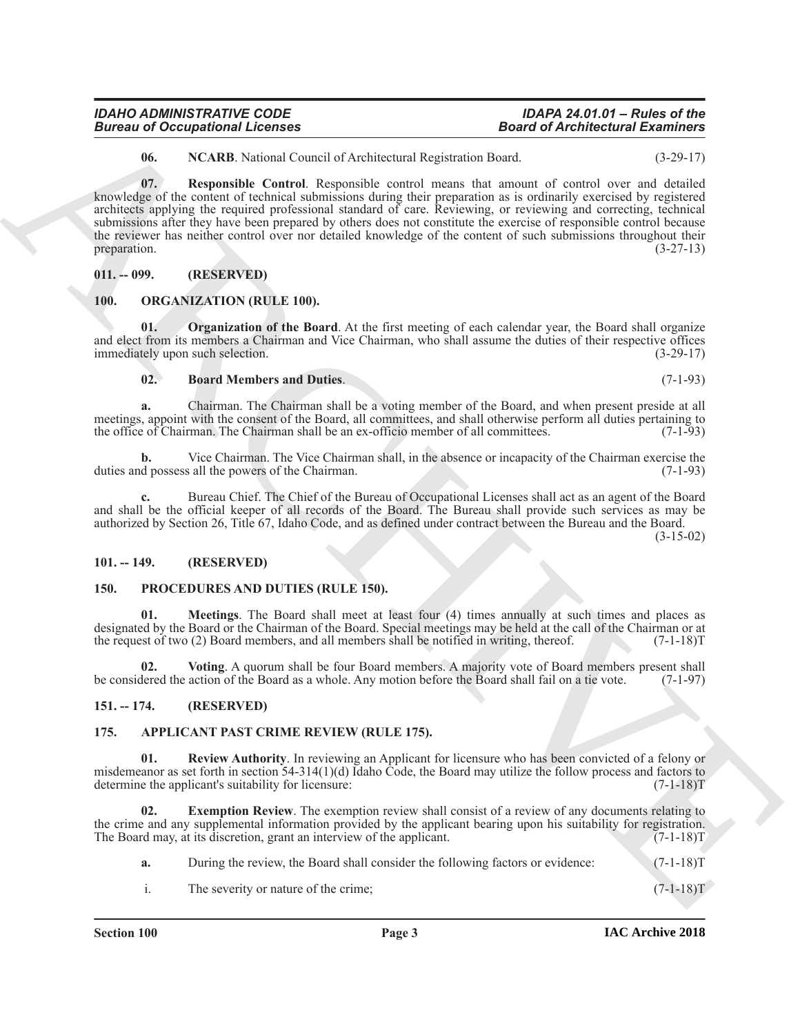#### knowledge of the content of technical submissions during their preparation as is ordinarily exercised by registered architects applying the required professional standard of care. Reviewing, or reviewing and correcting, technical submissions after they have been prepared by others does not constitute the exercise of responsible control because

and elect from its members a Chairman and Vice Chairman, who shall assume the duties of their respective offices immediately upon such selection. (3-29-17)

### <span id="page-2-12"></span>**02. Board Members and Duties**. (7-1-93)

<span id="page-2-13"></span>**Organization of the Board**. At the first meeting of each calendar year, the Board shall organize

<span id="page-2-10"></span><span id="page-2-9"></span>**06. NCARB**. National Council of Architectural Registration Board. (3-29-17) **07. Responsible Control**. Responsible control means that amount of control over and detailed

the reviewer has neither control over nor detailed knowledge of the content of such submissions throughout their preparation.  $(3-27-13)$ 

**Example 20** Comparison in Forming the state of Alechterican in Equation 11 and the state of Alechterican Example 20 and the state of Alechterican in the state of Alechterican in the state of the state of the state of the **a.** Chairman. The Chairman shall be a voting member of the Board, and when present preside at all meetings, appoint with the consent of the Board, all committees, and shall otherwise perform all duties pertaining to the office of Chairman. The Chairman shall be an ex-officio member of all committees. (7-1-93) the office of Chairman. The Chairman shall be an ex-officio member of all committees.

**b.** Vice Chairman. The Vice Chairman shall, in the absence or incapacity of the Chairman exercise the duties and possess all the powers of the Chairman. (7-1-93)

**c.** Bureau Chief. The Chief of the Bureau of Occupational Licenses shall act as an agent of the Board and shall be the official keeper of all records of the Board. The Bureau shall provide such services as may be authorized by Section 26, Title 67, Idaho Code, and as defined under contract between the Bureau and the Board.

(3-15-02)

### <span id="page-2-2"></span>**101. -- 149. (RESERVED)**

<span id="page-2-0"></span>**011. -- 099. (RESERVED)**

<span id="page-2-11"></span><span id="page-2-1"></span>**100. ORGANIZATION (RULE 100).**

### <span id="page-2-14"></span><span id="page-2-3"></span>**150. PROCEDURES AND DUTIES (RULE 150).**

<span id="page-2-15"></span>**01. Meetings**. The Board shall meet at least four (4) times annually at such times and places as designated by the Board or the Chairman of the Board. Special meetings may be held at the call of the Chairman or at the request of two (2) Board members, and all members shall be notified in writing, thereof. (7-1-18)T

<span id="page-2-16"></span>**02. Voting**. A quorum shall be four Board members. A majority vote of Board members present shall be considered the action of the Board as a whole. Any motion before the Board shall fail on a tie vote. (7-1-97)

### <span id="page-2-4"></span>**151. -- 174. (RESERVED)**

### <span id="page-2-6"></span><span id="page-2-5"></span>**175. APPLICANT PAST CRIME REVIEW (RULE 175).**

<span id="page-2-8"></span>**01. Review Authority**. In reviewing an Applicant for licensure who has been convicted of a felony or misdemeanor as set forth in section 54-314(1)(d) Idaho Code, the Board may utilize the follow process and factors to determine the applicant's suitability for licensure:  $(7-1-18)$ T determine the applicant's suitability for licensure:

**02.** Exemption Review. The exemption review shall consist of a review of any documents relating to the crime and any supplemental information provided by the applicant bearing upon his suitability for registration. The Board may, at its discretion, grant an interview of the applicant. (7-1-18)T

- <span id="page-2-7"></span>**a.** During the review, the Board shall consider the following factors or evidence:  $(7-1-18)T$
- i. The severity or nature of the crime; (7-1-18)T

*IDAHO ADMINISTRATIVE CODE IDAPA 24.01.01 – Rules of the Bureau of Occupational Licenses*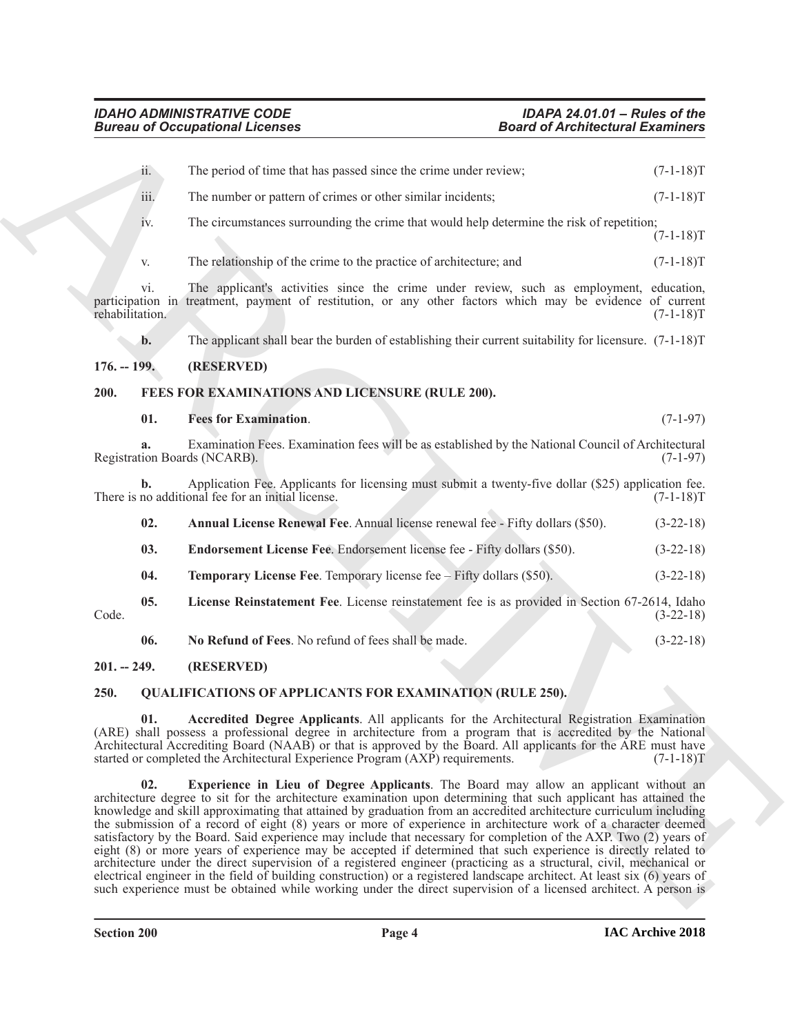<span id="page-3-13"></span><span id="page-3-12"></span><span id="page-3-11"></span><span id="page-3-10"></span><span id="page-3-9"></span><span id="page-3-8"></span><span id="page-3-7"></span><span id="page-3-6"></span><span id="page-3-5"></span><span id="page-3-4"></span><span id="page-3-3"></span><span id="page-3-2"></span><span id="page-3-1"></span><span id="page-3-0"></span>

| <b>Bureau of Occupational Licenses</b> |                                                                                                                                                                                                                                                                                                                                                                                                                                                                                                                                                                                                                                                                                                                                                                                                                                                                                                                                                                                                                                                                    | <b>Board of Architectural Examiners</b> |  |
|----------------------------------------|--------------------------------------------------------------------------------------------------------------------------------------------------------------------------------------------------------------------------------------------------------------------------------------------------------------------------------------------------------------------------------------------------------------------------------------------------------------------------------------------------------------------------------------------------------------------------------------------------------------------------------------------------------------------------------------------------------------------------------------------------------------------------------------------------------------------------------------------------------------------------------------------------------------------------------------------------------------------------------------------------------------------------------------------------------------------|-----------------------------------------|--|
| ii.                                    | The period of time that has passed since the crime under review;                                                                                                                                                                                                                                                                                                                                                                                                                                                                                                                                                                                                                                                                                                                                                                                                                                                                                                                                                                                                   | $(7-1-18)T$                             |  |
| iii.                                   | The number or pattern of crimes or other similar incidents;                                                                                                                                                                                                                                                                                                                                                                                                                                                                                                                                                                                                                                                                                                                                                                                                                                                                                                                                                                                                        | $(7-1-18)T$                             |  |
| iv.                                    | The circumstances surrounding the crime that would help determine the risk of repetition;                                                                                                                                                                                                                                                                                                                                                                                                                                                                                                                                                                                                                                                                                                                                                                                                                                                                                                                                                                          | $(7-1-18)T$                             |  |
| V.                                     | The relationship of the crime to the practice of architecture; and                                                                                                                                                                                                                                                                                                                                                                                                                                                                                                                                                                                                                                                                                                                                                                                                                                                                                                                                                                                                 | $(7-1-18)T$                             |  |
| vi.<br>rehabilitation.                 | The applicant's activities since the crime under review, such as employment, education,<br>participation in treatment, payment of restitution, or any other factors which may be evidence of current                                                                                                                                                                                                                                                                                                                                                                                                                                                                                                                                                                                                                                                                                                                                                                                                                                                               | $(7-1-18)T$                             |  |
| $b$ .                                  | The applicant shall bear the burden of establishing their current suitability for licensure. $(7-1-18)T$                                                                                                                                                                                                                                                                                                                                                                                                                                                                                                                                                                                                                                                                                                                                                                                                                                                                                                                                                           |                                         |  |
| $176. - 199.$                          | (RESERVED)                                                                                                                                                                                                                                                                                                                                                                                                                                                                                                                                                                                                                                                                                                                                                                                                                                                                                                                                                                                                                                                         |                                         |  |
| 200.                                   | FEES FOR EXAMINATIONS AND LICENSURE (RULE 200).                                                                                                                                                                                                                                                                                                                                                                                                                                                                                                                                                                                                                                                                                                                                                                                                                                                                                                                                                                                                                    |                                         |  |
| 01.                                    | <b>Fees for Examination.</b>                                                                                                                                                                                                                                                                                                                                                                                                                                                                                                                                                                                                                                                                                                                                                                                                                                                                                                                                                                                                                                       | $(7-1-97)$                              |  |
|                                        | Examination Fees. Examination fees will be as established by the National Council of Architectural<br>Registration Boards (NCARB).                                                                                                                                                                                                                                                                                                                                                                                                                                                                                                                                                                                                                                                                                                                                                                                                                                                                                                                                 | $(7-1-97)$                              |  |
| b.                                     | Application Fee. Applicants for licensing must submit a twenty-five dollar (\$25) application fee.<br>There is no additional fee for an initial license.                                                                                                                                                                                                                                                                                                                                                                                                                                                                                                                                                                                                                                                                                                                                                                                                                                                                                                           | $(7-1-18)T$                             |  |
| 02.                                    | Annual License Renewal Fee. Annual license renewal fee - Fifty dollars (\$50).                                                                                                                                                                                                                                                                                                                                                                                                                                                                                                                                                                                                                                                                                                                                                                                                                                                                                                                                                                                     | $(3-22-18)$                             |  |
| 03.                                    | Endorsement License Fee. Endorsement license fee - Fifty dollars (\$50).                                                                                                                                                                                                                                                                                                                                                                                                                                                                                                                                                                                                                                                                                                                                                                                                                                                                                                                                                                                           | $(3-22-18)$                             |  |
| 04.                                    | <b>Temporary License Fee.</b> Temporary license fee $-$ Fifty dollars $(\$50)$ .                                                                                                                                                                                                                                                                                                                                                                                                                                                                                                                                                                                                                                                                                                                                                                                                                                                                                                                                                                                   | $(3-22-18)$                             |  |
| 05.<br>Code.                           | License Reinstatement Fee. License reinstatement fee is as provided in Section 67-2614, Idaho                                                                                                                                                                                                                                                                                                                                                                                                                                                                                                                                                                                                                                                                                                                                                                                                                                                                                                                                                                      | $(3-22-18)$                             |  |
| 06.                                    | No Refund of Fees. No refund of fees shall be made.                                                                                                                                                                                                                                                                                                                                                                                                                                                                                                                                                                                                                                                                                                                                                                                                                                                                                                                                                                                                                | $(3-22-18)$                             |  |
| $201 - 249$ .                          | (RESERVED)                                                                                                                                                                                                                                                                                                                                                                                                                                                                                                                                                                                                                                                                                                                                                                                                                                                                                                                                                                                                                                                         |                                         |  |
| 250.                                   | <b>QUALIFICATIONS OF APPLICANTS FOR EXAMINATION (RULE 250).</b>                                                                                                                                                                                                                                                                                                                                                                                                                                                                                                                                                                                                                                                                                                                                                                                                                                                                                                                                                                                                    |                                         |  |
| 01.                                    | Accredited Degree Applicants. All applicants for the Architectural Registration Examination<br>(ARE) shall possess a professional degree in architecture from a program that is accredited by the National<br>Architectural Accrediting Board (NAAB) or that is approved by the Board. All applicants for the ARE must have<br>started or completed the Architectural Experience Program (AXP) requirements.                                                                                                                                                                                                                                                                                                                                                                                                                                                                                                                                                                                                                                                       | $(7-1-18)T$                             |  |
| 02.                                    | Experience in Lieu of Degree Applicants. The Board may allow an applicant without an<br>architecture degree to sit for the architecture examination upon determining that such applicant has attained the<br>knowledge and skill approximating that attained by graduation from an accredited architecture curriculum including<br>the submission of a record of eight (8) years or more of experience in architecture work of a character deemed<br>satisfactory by the Board. Said experience may include that necessary for completion of the AXP. Two (2) years of<br>eight (8) or more years of experience may be accepted if determined that such experience is directly related to<br>architecture under the direct supervision of a registered engineer (practicing as a structural, civil, mechanical or<br>electrical engineer in the field of building construction) or a registered landscape architect. At least six (6) years of<br>such experience must be obtained while working under the direct supervision of a licensed architect. A person is |                                         |  |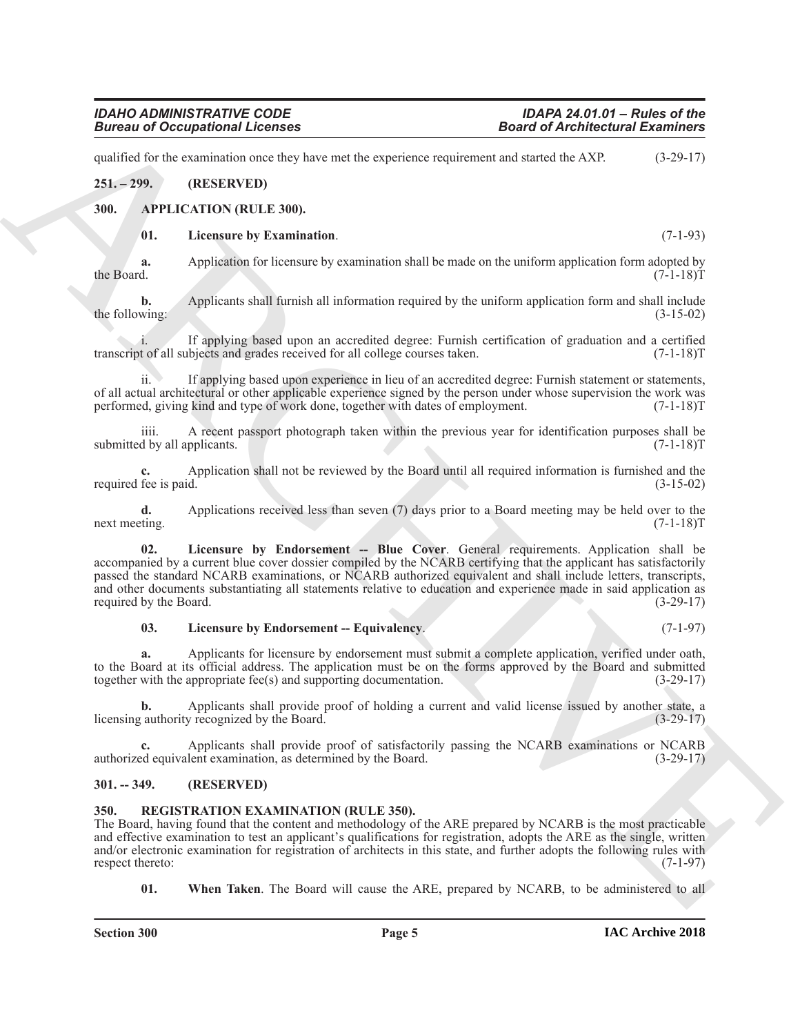### *IDAHO ADMINISTRATIVE CODE IDAPA 24.01.01 – Rules of the* **Bureau of Occupational Licenses**

qualified for the examination once they have met the experience requirement and started the AXP. (3-29-17)

### <span id="page-4-0"></span>**251. – 299. (RESERVED)**

### <span id="page-4-1"></span>**300. APPLICATION (RULE 300).**

### <span id="page-4-7"></span><span id="page-4-4"></span>**01. Licensure by Examination**. (7-1-93)

**a.** Application for licensure by examination shall be made on the uniform application form adopted by the Board.  $(7-1-18)T$ the Board.  $(7-1-18)T$ 

**b.** Applicants shall furnish all information required by the uniform application form and shall include wing: (3-15-02) the following:

i. If applying based upon an accredited degree: Furnish certification of graduation and a certified transcript of all subjects and grades received for all college courses taken.

ii. If applying based upon experience in lieu of an accredited degree: Furnish statement or statements, of all actual architectural or other applicable experience signed by the person under whose supervision the work was performed, giving kind and type of work done, together with dates of employment. (7-1-18)T

iiii. A recent passport photograph taken within the previous year for identification purposes shall be d by all applicants.  $(7-1-18)T$ submitted by all applicants.

**c.** Application shall not be reviewed by the Board until all required information is furnished and the required fee is paid.

<span id="page-4-5"></span>**d.** Applications received less than seven (7) days prior to a Board meeting may be held over to the ting. (7-1-18) next meeting.

Given to Conception of Lebenson<br>
yields be the same that the summitted and the summitted and special distribution of  $(3-2\pi)$ <br>
251. 299. (BSFRAVITH)<br>
261. Appendix the Licensin of the summitted and be used on the summitt **02. Licensure by Endorsement -- Blue Cover**. General requirements. Application shall be accompanied by a current blue cover dossier compiled by the NCARB certifying that the applicant has satisfactorily passed the standard NCARB examinations, or NCARB authorized equivalent and shall include letters, transcripts, and other documents substantiating all statements relative to education and experience made in said application as required by the Board. (3-29-17) required by the Board.

### <span id="page-4-6"></span>**03. Licensure by Endorsement -- Equivalency**. (7-1-97)

**a.** Applicants for licensure by endorsement must submit a complete application, verified under oath, to the Board at its official address. The application must be on the forms approved by the Board and submitted together with the appropriate fee(s) and supporting documentation. (3-29-17)

**b.** Applicants shall provide proof of holding a current and valid license issued by another state, a (authority recognized by the Board. (3-29-17) licensing authority recognized by the Board.

**c.** Applicants shall provide proof of satisfactorily passing the NCARB examinations or NCARB authorized equivalent examination, as determined by the Board. (3-29-17)

### <span id="page-4-2"></span>**301. -- 349. (RESERVED)**

### <span id="page-4-8"></span><span id="page-4-3"></span>**350. REGISTRATION EXAMINATION (RULE 350).**

The Board, having found that the content and methodology of the ARE prepared by NCARB is the most practicable and effective examination to test an applicant's qualifications for registration, adopts the ARE as the single, written and/or electronic examination for registration of architects in this state, and further adopts the following rules with respect thereto: (7-1-97) respect thereto:

<span id="page-4-9"></span>**01. When Taken**. The Board will cause the ARE, prepared by NCARB, to be administered to all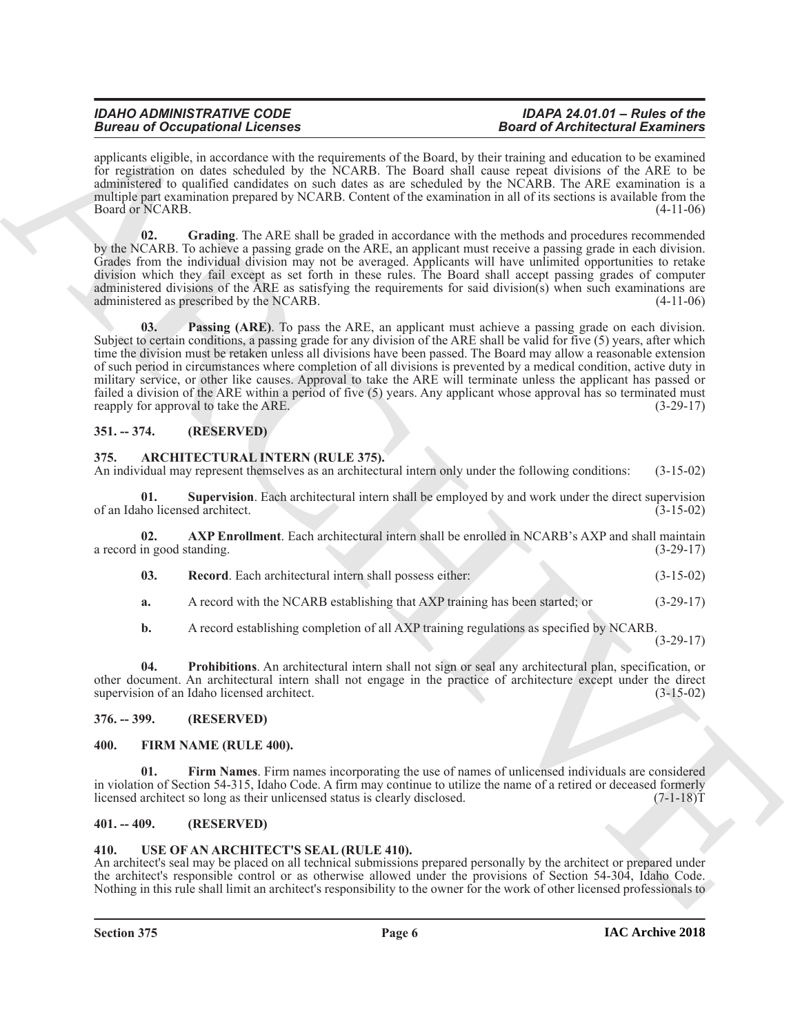## *Bureau of Occupational Licenses*

## *IDAHO ADMINISTRATIVE CODE IDAPA 24.01.01 – Rules of the*

applicants eligible, in accordance with the requirements of the Board, by their training and education to be examined for registration on dates scheduled by the NCARB. The Board shall cause repeat divisions of the ARE to be administered to qualified candidates on such dates as are scheduled by the NCARB. The ARE examination is a multiple part examination prepared by NCARB. Content of the examination in all of its sections is available from the Board or NCARB. (4-11-06)

<span id="page-5-14"></span><span id="page-5-13"></span>**02. Grading**. The ARE shall be graded in accordance with the methods and procedures recommended by the NCARB. To achieve a passing grade on the ARE, an applicant must receive a passing grade in each division. Grades from the individual division may not be averaged. Applicants will have unlimited opportunities to retake division which they fail except as set forth in these rules. The Board shall accept passing grades of computer administered divisions of the ARE as satisfying the requirements for said division(s) when such examinations are administered as prescribed by the NCARB. (4-11-06)

**Example 20**<br> **Example 20**<br> **Example 20**<br> **Example 20**<br> **Example 20**<br> **Example 20**<br> **Example 20**<br> **Example 20**<br> **Example 20**<br> **Example 20**<br> **Example 20**<br> **Example 20**<br> **Example 20**<br> **Example 20**<br> **Example 20**<br> **Example 20 03. Passing (ARE)**. To pass the ARE, an applicant must achieve a passing grade on each division. Subject to certain conditions, a passing grade for any division of the ARE shall be valid for five (5) years, after which time the division must be retaken unless all divisions have been passed. The Board may allow a reasonable extension of such period in circumstances where completion of all divisions is prevented by a medical condition, active duty in military service, or other like causes. Approval to take the ARE will terminate unless the applicant has passed or failed a division of the ARE within a period of five (5) years. Any applicant whose approval has so terminated must reapply for approval to take the ARE. (3-29-17)

### <span id="page-5-0"></span>**351. -- 374. (RESERVED)**

### <span id="page-5-6"></span><span id="page-5-1"></span>**375. ARCHITECTURAL INTERN (RULE 375).**

An individual may represent themselves as an architectural intern only under the following conditions: (3-15-02)

<span id="page-5-10"></span>**01. Supervision**. Each architectural intern shall be employed by and work under the direct supervision ho licensed architect. (3-15-02) of an Idaho licensed architect.

**02. AXP Enrollment**. Each architectural intern shall be enrolled in NCARB's AXP and shall maintain a record in good standing. (3-29-17)

- <span id="page-5-9"></span><span id="page-5-7"></span>**03. Record**. Each architectural intern shall possess either: (3-15-02)
- **a.** A record with the NCARB establishing that AXP training has been started; or  $(3-29-17)$

<span id="page-5-8"></span>**b.** A record establishing completion of all AXP training regulations as specified by NCARB.

(3-29-17)

**04. Prohibitions**. An architectural intern shall not sign or seal any architectural plan, specification, or other document. An architectural intern shall not engage in the practice of architecture except under the direct supervision of an Idaho licensed architect.

### <span id="page-5-2"></span>**376. -- 399. (RESERVED)**

### <span id="page-5-12"></span><span id="page-5-11"></span><span id="page-5-3"></span>**400. FIRM NAME (RULE 400).**

**Firm Names**. Firm names incorporating the use of names of unlicensed individuals are considered in violation of Section 54-315, Idaho Code. A firm may continue to utilize the name of a retired or deceased formerly licensed architect so long as their unlicensed status is clearly disclosed. (7-1-18) licensed architect so long as their unlicensed status is clearly disclosed.

### <span id="page-5-4"></span>**401. -- 409. (RESERVED)**

### <span id="page-5-15"></span><span id="page-5-5"></span>**410. USE OF AN ARCHITECT'S SEAL (RULE 410).**

An architect's seal may be placed on all technical submissions prepared personally by the architect or prepared under the architect's responsible control or as otherwise allowed under the provisions of Section 54-304, Idaho Code. Nothing in this rule shall limit an architect's responsibility to the owner for the work of other licensed professionals to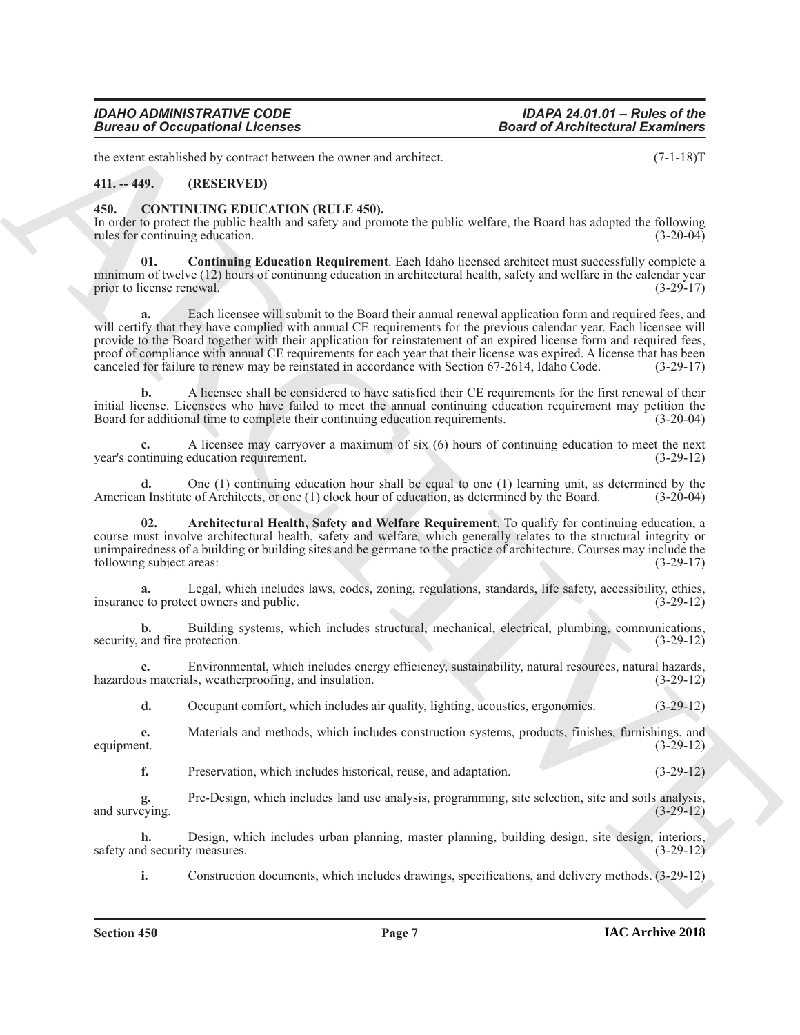### *IDAHO ADMINISTRATIVE CODE IDAPA 24.01.01 – Rules of the Bureau of Occupational Licenses*

the extent established by contract between the owner and architect. (7-1-18)T

### <span id="page-6-0"></span>**411. -- 449. (RESERVED)**

### <span id="page-6-2"></span><span id="page-6-1"></span>**450. CONTINUING EDUCATION (RULE 450).**

In order to protect the public health and safety and promote the public welfare, the Board has adopted the following rules for continuing education. (3-20-04) rules for continuing education.

<span id="page-6-4"></span>**01. Continuing Education Requirement**. Each Idaho licensed architect must successfully complete a minimum of twelve (12) hours of continuing education in architectural health, safety and welfare in the calendar year prior to license renewal. (3-29-17)

**Example 20** Conceptions of Lebenson and the state of the state of Alechinectics Examines the state of the state of the state of the state of the state of the state of the state of the state of the state of the state of t **a.** Each licensee will submit to the Board their annual renewal application form and required fees, and will certify that they have complied with annual CE requirements for the previous calendar year. Each licensee will provide to the Board together with their application for reinstatement of an expired license form and required fees, proof of compliance with annual CE requirements for each year that their license was expired. A license that has been<br>canceled for failure to renew may be reinstated in accordance with Section 67-2614, Idaho Code. (3-29-17 canceled for failure to renew may be reinstated in accordance with Section 67-2614, Idaho Code.

**b.** A licensee shall be considered to have satisfied their CE requirements for the first renewal of their initial license. Licensees who have failed to meet the annual continuing education requirement may petition the Board for additional time to complete their continuing education requirements. (3-20-04)

**c.** A licensee may carryover a maximum of six (6) hours of continuing education to meet the next year's continuing education requirement. (3-29-12)

**d.** One (1) continuing education hour shall be equal to one (1) learning unit, as determined by the American Institute of Architects, or one (1) clock hour of education, as determined by the Board. (3-20-04)

<span id="page-6-3"></span>**02. Architectural Health, Safety and Welfare Requirement**. To qualify for continuing education, a course must involve architectural health, safety and welfare, which generally relates to the structural integrity or unimpairedness of a building or building sites and be germane to the practice of architecture. Courses may include the following subject areas: (3-29-17)

Legal, which includes laws, codes, zoning, regulations, standards, life safety, accessibility, ethics, ct owners and public. (3-29-12) insurance to protect owners and public.

**b.** Building systems, which includes structural, mechanical, electrical, plumbing, communications, security, and fire protection. (3-29-12)

**c.** Environmental, which includes energy efficiency, sustainability, natural resources, natural hazards, is materials, weatherproofing, and insulation. (3-29-12) hazardous materials, weatherproofing, and insulation.

**d.** Occupant comfort, which includes air quality, lighting, acoustics, ergonomics. (3-29-12)

**e.** Materials and methods, which includes construction systems, products, finishes, furnishings, and equipment.  $(3-29-12)$ equipment.  $(3-29-12)$ 

**f.** Preservation, which includes historical, reuse, and adaptation. (3-29-12)

**g.** Pre-Design, which includes land use analysis, programming, site selection, site and soils analysis, and surveying. (3-29-12)

**h.** Design, which includes urban planning, master planning, building design, site design, interiors, d security measures.  $(3-29-12)$ safety and security measures.

**i.** Construction documents, which includes drawings, specifications, and delivery methods. (3-29-12)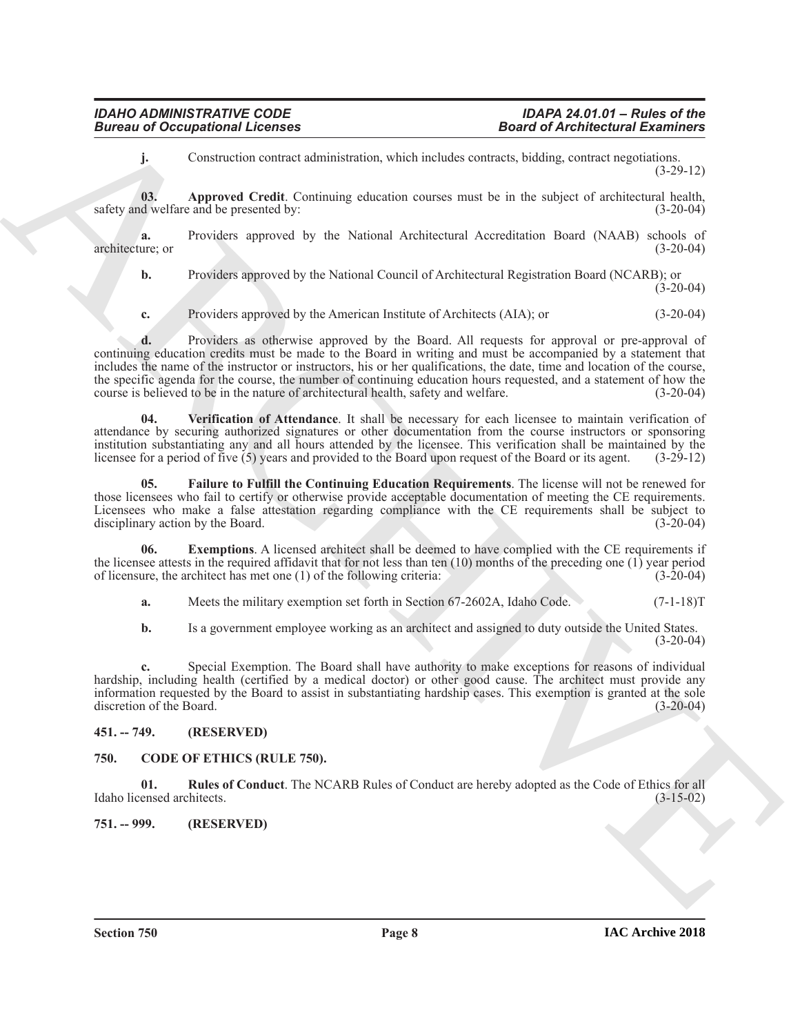<span id="page-7-5"></span>**j.** Construction contract administration, which includes contracts, bidding, contract negotiations. (3-29-12)

**03. Approved Credit**. Continuing education courses must be in the subject of architectural health, safety and welfare and be presented by: (3-20-04)

**a.** Providers approved by the National Architectural Accreditation Board (NAAB) schools of ure; or architecture; or (3-20-04)

**b.** Providers approved by the National Council of Architectural Registration Board (NCARB); or  $(3-20-04)$ 

**c.** Providers approved by the American Institute of Architects (AIA); or (3-20-04)

**Example 20** Compassions I Leonson and South Channel 2008 Alechtechtes Example 2008<br>
Approved Cecilis Communications estate and another resume to in the advertise of Architectural Example 2011<br>
ARCHIVEN approved Cecilis C **d.** Providers as otherwise approved by the Board. All requests for approval or pre-approval of continuing education credits must be made to the Board in writing and must be accompanied by a statement that includes the name of the instructor or instructors, his or her qualifications, the date, time and location of the course, the specific agenda for the course, the number of continuing education hours requested, and a statement of how the course is believed to be in the nature of architectural health, safety and welfare. (3-20-04)

<span id="page-7-8"></span>**04. Verification of Attendance**. It shall be necessary for each licensee to maintain verification of attendance by securing authorized signatures or other documentation from the course instructors or sponsoring institution substantiating any and all hours attended by the licensee. This verification shall be maintained by the licensee for a period of five (5) years and provided to the Board upon request of the Board or its agent. (3-29-12)

<span id="page-7-7"></span>**05. Failure to Fulfill the Continuing Education Requirements**. The license will not be renewed for those licensees who fail to certify or otherwise provide acceptable documentation of meeting the CE requirements. Licensees who make a false attestation regarding compliance with the CE requirements shall be subject to disciplinary action by the Board. (3-20-04)

**06.** Exemptions. A licensed architect shall be deemed to have complied with the CE requirements if the licensee attests in the required affidavit that for not less than ten  $(10)$  months of the preceding one  $(1)$  year period of licensure, the architect has met one (1) of the following criteria: (3-20-04)

<span id="page-7-6"></span>**a.** Meets the military exemption set forth in Section 67-2602A, Idaho Code. (7-1-18)T

**b.** Is a government employee working as an architect and assigned to duty outside the United States.  $(3-20-04)$ 

**c.** Special Exemption. The Board shall have authority to make exceptions for reasons of individual hardship, including health (certified by a medical doctor) or other good cause. The architect must provide any information requested by the Board to assist in substantiating hardship cases. This exemption is granted at the sole discretion of the Board. (3-20-04)

<span id="page-7-0"></span>**451. -- 749. (RESERVED)**

### <span id="page-7-3"></span><span id="page-7-1"></span>**750. CODE OF ETHICS (RULE 750).**

<span id="page-7-4"></span>**01.** Rules of Conduct. The NCARB Rules of Conduct are hereby adopted as the Code of Ethics for all ensed architects. (3-15-02) Idaho licensed architects.

<span id="page-7-2"></span>**751. -- 999. (RESERVED)**